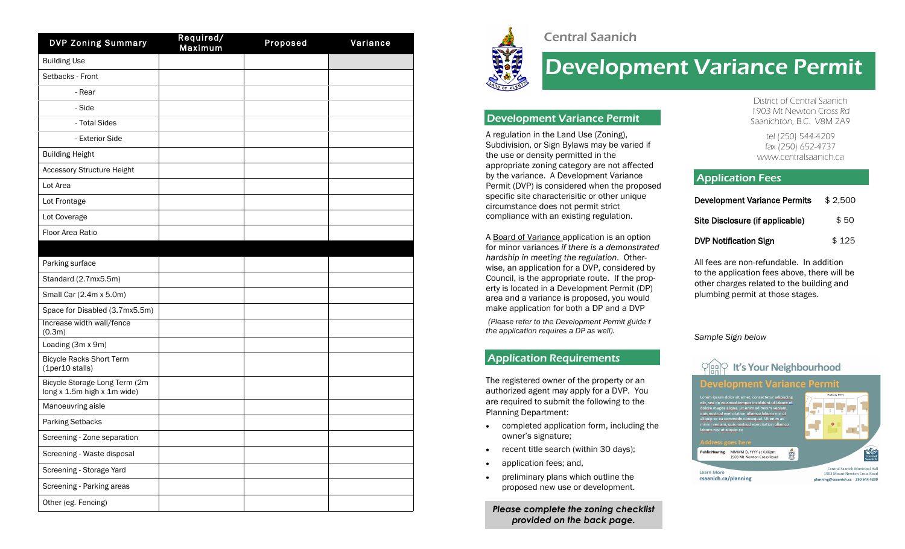| <b>DVP Zoning Summary</b>                                    | Required/<br>Maximum | Proposed | Variance |
|--------------------------------------------------------------|----------------------|----------|----------|
| <b>Building Use</b>                                          |                      |          |          |
| Setbacks - Front                                             |                      |          |          |
| - Rear                                                       |                      |          |          |
| - Side                                                       |                      |          |          |
| - Total Sides                                                |                      |          |          |
| - Exterior Side                                              |                      |          |          |
| <b>Building Height</b>                                       |                      |          |          |
| <b>Accessory Structure Height</b>                            |                      |          |          |
| Lot Area                                                     |                      |          |          |
| Lot Frontage                                                 |                      |          |          |
| Lot Coverage                                                 |                      |          |          |
| Floor Area Ratio                                             |                      |          |          |
|                                                              |                      |          |          |
| Parking surface                                              |                      |          |          |
| Standard (2.7mx5.5m)                                         |                      |          |          |
| Small Car (2.4m x 5.0m)                                      |                      |          |          |
| Space for Disabled (3.7mx5.5m)                               |                      |          |          |
| Increase width wall/fence<br>(0.3m)                          |                      |          |          |
| Loading (3m x 9m)                                            |                      |          |          |
| <b>Bicycle Racks Short Term</b><br>(1per10 stalls)           |                      |          |          |
| Bicycle Storage Long Term (2m<br>long x 1.5m high x 1m wide) |                      |          |          |
| Manoeuvring aisle                                            |                      |          |          |
| Parking Setbacks                                             |                      |          |          |
| Screening - Zone separation                                  |                      |          |          |
| Screening - Waste disposal                                   |                      |          |          |
| Screening - Storage Yard                                     |                      |          |          |
| Screening - Parking areas                                    |                      |          |          |
| Other (eg. Fencing)                                          |                      |          |          |



# Central Saanich

# Development Variance Permit

# Development Variance Permit

A regulation in the Land Use (Zoning), Subdivision, or Sign Bylaws may be varied if the use or density permitted in the appropriate zoning category are not affected by the variance. A Development Variance Permit (DVP) is considered when the proposed specific site characterisitic or other unique circumstance does not permit strict compliance with an existing regulation.

A Board of Variance application is an option for minor variances *if there is a demonstrated hardship in meeting the regulation*. Otherwise, an application for a DVP, considered by Council, is the appropriate route. If the property is located in a Development Permit (DP) area and a variance is proposed, you would make application for both a DP and a DVP

*(Please refer to the Development Permit guide f the application requires a DP as well).*

# Application Requirements

The registered owner of the property or an authorized agent may apply for a D VP. You are required to submit the following to the Planning Department :

- completed application form, including the owner's signature ;
- recent title search (within 30 days);
- application fees; and,
- preliminary plans which outline the proposed new use or development.

*Please complete the zoning checklist provided on the back page.*

District of Central Saanich 1903 Mt Newton Cross Rd Saanichton B.C. V8M 2A9 ,

tel (250) 544 -4209 fax (250) 652 -4737 www.centralsaanich.ca

# **Application Fees**

| <b>Development Variance Permits</b> | \$2.500 |
|-------------------------------------|---------|
| Site Disclosure (if applicable)     | \$50    |
| <b>DVP Notification Sign</b>        | \$125   |

All fees are non -refundable. In addition to the application fees above, there will be other charges related to the building and plumbing permit at those stages.

*Sample Sign below*